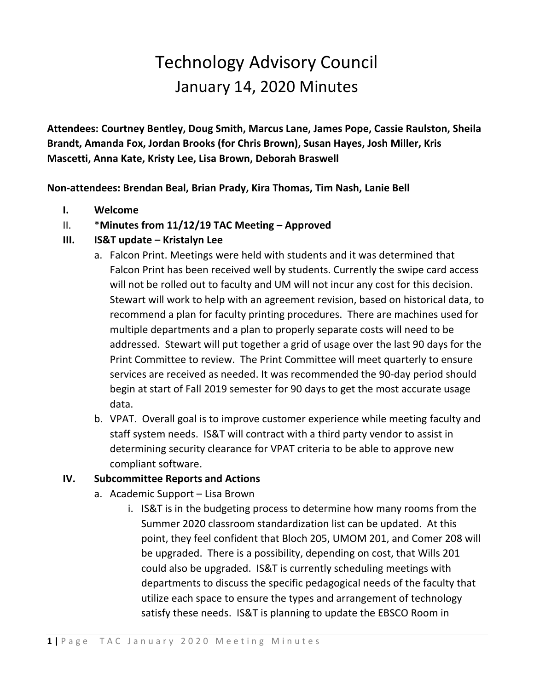## Technology Advisory Council January 14, 2020 Minutes

**Attendees: Courtney Bentley, Doug Smith, Marcus Lane, James Pope, Cassie Raulston, Sheila Brandt, Amanda Fox, Jordan Brooks (for Chris Brown), Susan Hayes, Josh Miller, Kris Mascetti, Anna Kate, Kristy Lee, Lisa Brown, Deborah Braswell** 

**Non-attendees: Brendan Beal, Brian Prady, Kira Thomas, Tim Nash, Lanie Bell**

- **I. Welcome**
- II. \***Minutes from 11/12/19 TAC Meeting – Approved**
- **III. IS&T update – Kristalyn Lee**
	- a. Falcon Print. Meetings were held with students and it was determined that Falcon Print has been received well by students. Currently the swipe card access will not be rolled out to faculty and UM will not incur any cost for this decision. Stewart will work to help with an agreement revision, based on historical data, to recommend a plan for faculty printing procedures. There are machines used for multiple departments and a plan to properly separate costs will need to be addressed. Stewart will put together a grid of usage over the last 90 days for the Print Committee to review. The Print Committee will meet quarterly to ensure services are received as needed. It was recommended the 90-day period should begin at start of Fall 2019 semester for 90 days to get the most accurate usage data.
	- b. VPAT. Overall goal is to improve customer experience while meeting faculty and staff system needs. IS&T will contract with a third party vendor to assist in determining security clearance for VPAT criteria to be able to approve new compliant software.

## **IV. Subcommittee Reports and Actions**

- a. Academic Support Lisa Brown
	- i. IS&T is in the budgeting process to determine how many rooms from the Summer 2020 classroom standardization list can be updated. At this point, they feel confident that Bloch 205, UMOM 201, and Comer 208 will be upgraded. There is a possibility, depending on cost, that Wills 201 could also be upgraded. IS&T is currently scheduling meetings with departments to discuss the specific pedagogical needs of the faculty that utilize each space to ensure the types and arrangement of technology satisfy these needs. IS&T is planning to update the EBSCO Room in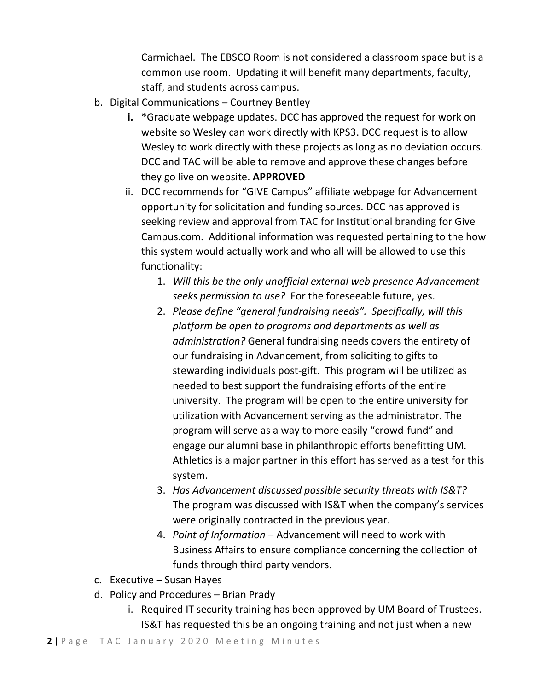Carmichael. The EBSCO Room is not considered a classroom space but is a common use room. Updating it will benefit many departments, faculty, staff, and students across campus.

- b. Digital Communications Courtney Bentley
	- **i.** \*Graduate webpage updates. DCC has approved the request for work on website so Wesley can work directly with KPS3. DCC request is to allow Wesley to work directly with these projects as long as no deviation occurs. DCC and TAC will be able to remove and approve these changes before they go live on website. **APPROVED**
	- ii. DCC recommends for "GIVE Campus" affiliate webpage for Advancement opportunity for solicitation and funding sources. DCC has approved is seeking review and approval from TAC for Institutional branding for Give Campus.com. Additional information was requested pertaining to the how this system would actually work and who all will be allowed to use this functionality:
		- 1. *Will this be the only unofficial external web presence Advancement seeks permission to use?* For the foreseeable future, yes.
		- 2. *Please define "general fundraising needs". Specifically, will this platform be open to programs and departments as well as administration?* General fundraising needs covers the entirety of our fundraising in Advancement, from soliciting to gifts to stewarding individuals post-gift. This program will be utilized as needed to best support the fundraising efforts of the entire university. The program will be open to the entire university for utilization with Advancement serving as the administrator. The program will serve as a way to more easily "crowd-fund" and engage our alumni base in philanthropic efforts benefitting UM. Athletics is a major partner in this effort has served as a test for this system.
		- 3. *Has Advancement discussed possible security threats with IS&T?* The program was discussed with IS&T when the company's services were originally contracted in the previous year.
		- 4. *Point of Information* Advancement will need to work with Business Affairs to ensure compliance concerning the collection of funds through third party vendors.
- c. Executive Susan Hayes
- d. Policy and Procedures Brian Prady
	- i. Required IT security training has been approved by UM Board of Trustees. IS&T has requested this be an ongoing training and not just when a new